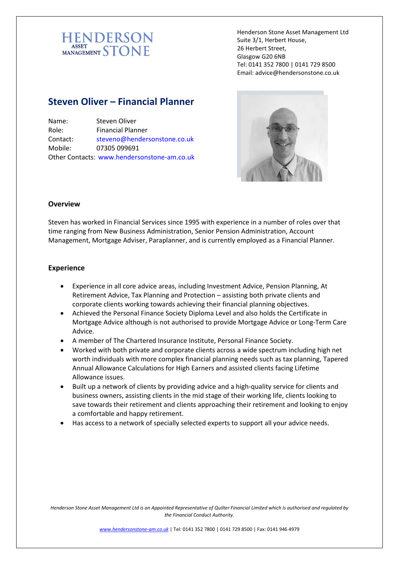# HENDERSON

Henderson Stone Asset Management Ltd Suite 3/1, Herbert House, 26 Herbert Street, Glasgow G20 6NB Tel: 0141 352 7800 | 0141 729 8500 Email: advice@hendersonstone.co.uk

## **Steven Oliver – Financial Planner**

| Name:                                       | Steven Oliver                |
|---------------------------------------------|------------------------------|
| Role:                                       | <b>Financial Planner</b>     |
| Contact:                                    | steveno@hendersonstone.co.uk |
| Mobile:                                     | 07305 099691                 |
| Other Contacts: www.hendersonstone-am.co.uk |                              |



## **Overview**

Steven has worked in Financial Services since 1995 with experience in a number of roles over that time ranging from New Business Administration, Senior Pension Administration, Account Management, Mortgage Adviser, Paraplanner, and is currently employed as a Financial Planner.

#### **Experience**

- Experience in all core advice areas, including Investment Advice, Pension Planning, At Retirement Advice, Tax Planning and Protection – assisting both private clients and corporate clients working towards achieving their financial planning objectives.
- Achieved the Personal Finance Society Diploma Level and also holds the Certificate in Mortgage Advice although is not authorised to provide Mortgage Advice or Long-Term Care Advice.
- A member of The Chartered Insurance Institute, Personal Finance Society.
- Worked with both private and corporate clients across a wide spectrum including high net worth individuals with more complex financial planning needs such as tax planning, Tapered Annual Allowance Calculations for High Earners and assisted clients facing Lifetime Allowance issues.
- Built up a network of clients by providing advice and a high-quality service for clients and business owners, assisting clients in the mid stage of their working life, clients looking to save towards their retirement and clients approaching their retirement and looking to enjoy a comfortable and happy retirement.
- Has access to a network of specially selected experts to support all your advice needs.

*Henderson Stone Asset Management Ltd is an Appointed Representative of Quilter Financial Limited which is authorised and regulated by the Financial Conduct Authority.*